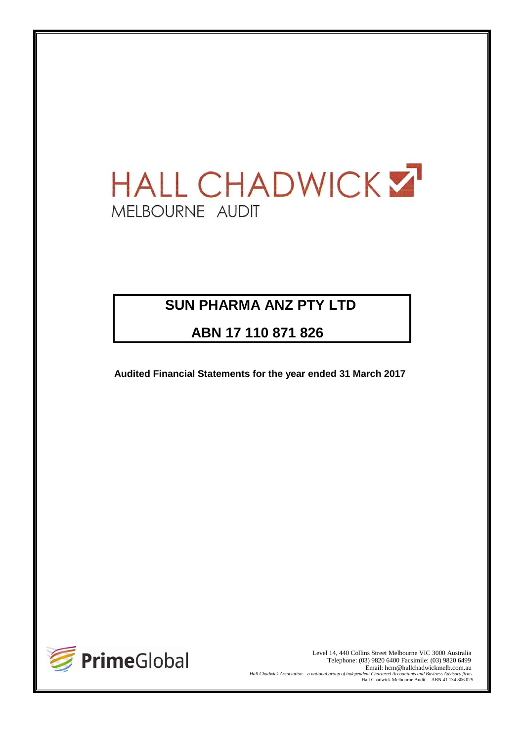# HALL CHADWICK ST MELBOURNE AUDIT

# **SUN PHARMA ANZ PTY LTD**

**ABN 17 110 871 826**

**Audited Financial Statements for the year ended 31 March 2017**



Level 14, 440 Collins Street Melbourne VIC 3000 Australia Telephone: (03) 9820 6400 Facsimile: (03) 9820 6499 Email: hcm@hallchadwickmelb.com.au<br>Hall Chadwick Association – a national group of independent Chartered Accountants and Business Advisory firms. *Hall Chadwick Association – a national group of independent Chartered Accountants and Business Advisory firms.* Hall Chadwick Melbourne Audit ABN 41 134 806 025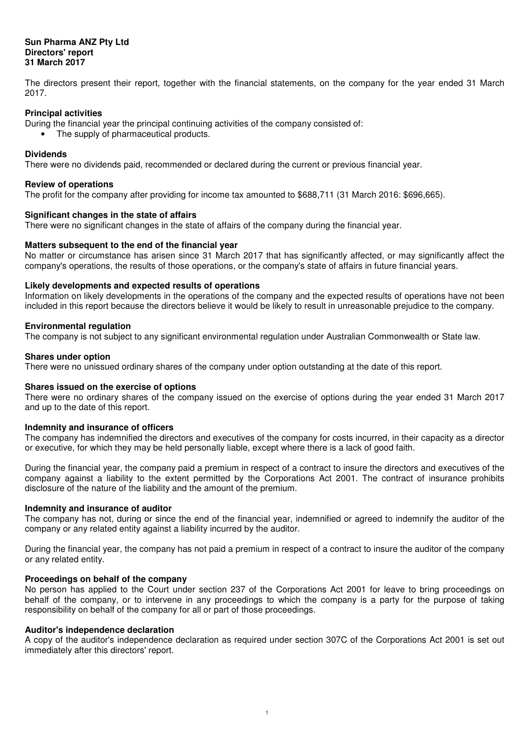#### **Sun Pharma ANZ Pty Ltd Directors' report 31 March 2017**

The directors present their report, together with the financial statements, on the company for the year ended 31 March 2017.

#### **Principal activities**

- During the financial year the principal continuing activities of the company consisted of:
- The supply of pharmaceutical products.

#### **Dividends**

There were no dividends paid, recommended or declared during the current or previous financial year.

#### **Review of operations**

The profit for the company after providing for income tax amounted to \$688,711 (31 March 2016: \$696,665).

#### **Significant changes in the state of affairs**

There were no significant changes in the state of affairs of the company during the financial year.

#### **Matters subsequent to the end of the financial year**

No matter or circumstance has arisen since 31 March 2017 that has significantly affected, or may significantly affect the company's operations, the results of those operations, or the company's state of affairs in future financial years.

#### **Likely developments and expected results of operations**

Information on likely developments in the operations of the company and the expected results of operations have not been included in this report because the directors believe it would be likely to result in unreasonable prejudice to the company.

#### **Environmental regulation**

The company is not subject to any significant environmental regulation under Australian Commonwealth or State law.

#### **Shares under option**

There were no unissued ordinary shares of the company under option outstanding at the date of this report.

#### **Shares issued on the exercise of options**

There were no ordinary shares of the company issued on the exercise of options during the year ended 31 March 2017 and up to the date of this report.

#### **Indemnity and insurance of officers**

The company has indemnified the directors and executives of the company for costs incurred, in their capacity as a director or executive, for which they may be held personally liable, except where there is a lack of good faith.

During the financial year, the company paid a premium in respect of a contract to insure the directors and executives of the company against a liability to the extent permitted by the Corporations Act 2001. The contract of insurance prohibits disclosure of the nature of the liability and the amount of the premium.

#### **Indemnity and insurance of auditor**

The company has not, during or since the end of the financial year, indemnified or agreed to indemnify the auditor of the company or any related entity against a liability incurred by the auditor.

During the financial year, the company has not paid a premium in respect of a contract to insure the auditor of the company or any related entity.

#### **Proceedings on behalf of the company**

No person has applied to the Court under section 237 of the Corporations Act 2001 for leave to bring proceedings on behalf of the company, or to intervene in any proceedings to which the company is a party for the purpose of taking responsibility on behalf of the company for all or part of those proceedings.

#### **Auditor's independence declaration**

A copy of the auditor's independence declaration as required under section 307C of the Corporations Act 2001 is set out immediately after this directors' report.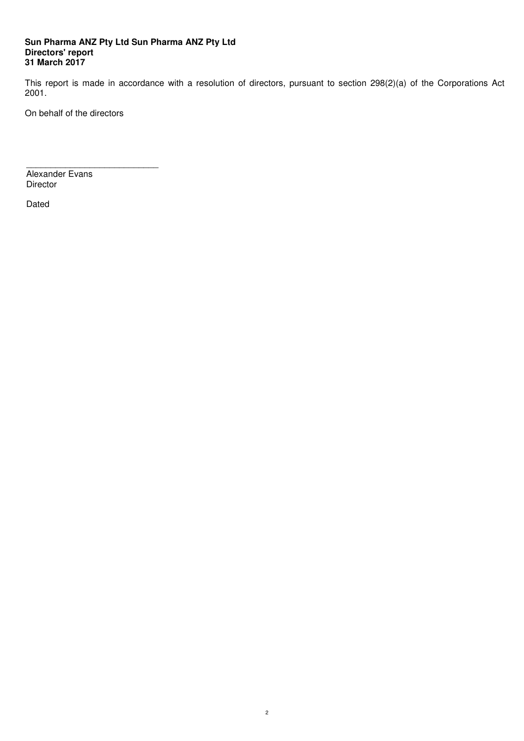#### **Sun Pharma ANZ Pty Ltd Sun Pharma ANZ Pty Ltd Directors' report 31 March 2017**

This report is made in accordance with a resolution of directors, pursuant to section 298(2)(a) of the Corporations Act 2001.

On behalf of the directors

 $\overline{\phantom{a}}$  , and the set of the set of the set of the set of the set of the set of the set of the set of the set of the set of the set of the set of the set of the set of the set of the set of the set of the set of the s Alexander Evans Director

Dated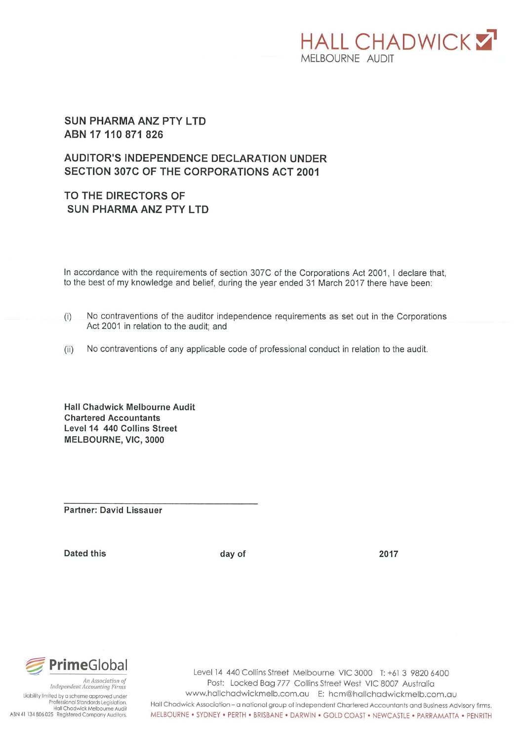# **HALL CHADWICKY** MELBOURNE AUDIT

### **SUN PHARMA ANZ PTY LTD** ABN 17 110 871 826

# **AUDITOR'S INDEPENDENCE DECLARATION UNDER** SECTION 307C OF THE CORPORATIONS ACT 2001

# TO THE DIRECTORS OF **SUN PHARMA ANZ PTY LTD**

In accordance with the requirements of section 307C of the Corporations Act 2001, I declare that, to the best of my knowledge and belief, during the year ended 31 March 2017 there have been:

- $(i)$ No contraventions of the auditor independence requirements as set out in the Corporations Act 2001 in relation to the audit; and
- No contraventions of any applicable code of professional conduct in relation to the audit.  $(ii)$

Hall Chadwick Melbourne Audit **Chartered Accountants** Level 14 440 Collins Street MELBOURNE, VIC, 3000

Partner: David Lissauer

Dated this

day of

2017



Liability limited by a scheme approved under Professional Standards Legislation. Hall Chadwick Melbourne Audit ABN 41 134 806 025 Registered Company Auditors.

Level 14 440 Collins Street Melbourne VIC 3000 T: +61 3 9820 6400 Post: Locked Bag 777 Collins Street West VIC 8007 Australia www.hallchadwickmelb.com.au E: hcm@hallchadwickmelb.com.au Hall Chadwick Association - a national group of independent Chartered Accountants and Business Advisory firms. MELBOURNE . SYDNEY . PERTH . BRISBANE . DARWIN . GOLD COAST . NEWCASTLE . PARRAMATTA . PENRITH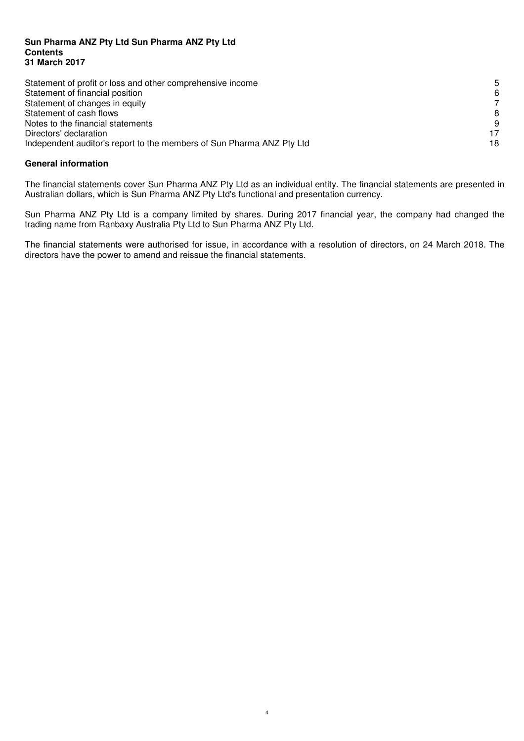#### **Sun Pharma ANZ Pty Ltd Sun Pharma ANZ Pty Ltd Contents 31 March 2017**

| Statement of profit or loss and other comprehensive income            | .5 |
|-----------------------------------------------------------------------|----|
| Statement of financial position                                       | 6  |
| Statement of changes in equity                                        |    |
| Statement of cash flows                                               |    |
| Notes to the financial statements                                     |    |
| Directors' declaration                                                |    |
| Independent auditor's report to the members of Sun Pharma ANZ Pty Ltd | 18 |

#### **General information**

The financial statements cover Sun Pharma ANZ Pty Ltd as an individual entity. The financial statements are presented in Australian dollars, which is Sun Pharma ANZ Pty Ltd's functional and presentation currency.

Sun Pharma ANZ Pty Ltd is a company limited by shares. During 2017 financial year, the company had changed the trading name from Ranbaxy Australia Pty Ltd to Sun Pharma ANZ Pty Ltd.

The financial statements were authorised for issue, in accordance with a resolution of directors, on 24 March 2018. The directors have the power to amend and reissue the financial statements.

4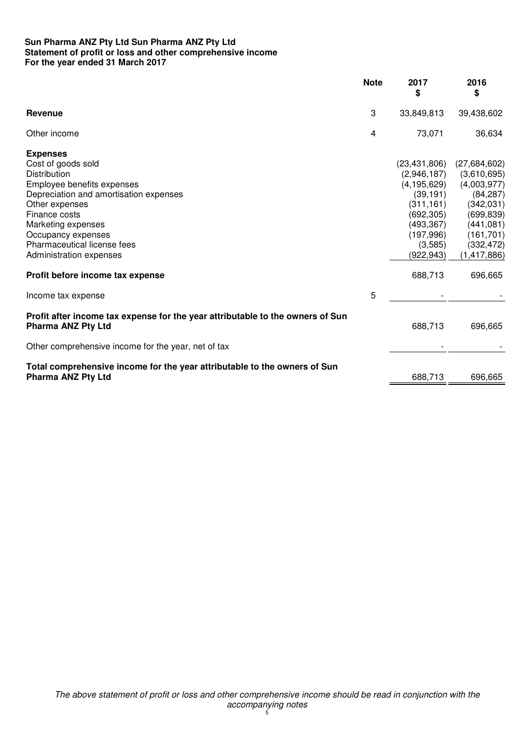#### **Sun Pharma ANZ Pty Ltd Sun Pharma ANZ Pty Ltd Statement of profit or loss and other comprehensive income For the year ended 31 March 2017**

|                                                                                                             | <b>Note</b> | 2017<br>\$     | 2016<br>\$    |
|-------------------------------------------------------------------------------------------------------------|-------------|----------------|---------------|
| Revenue                                                                                                     | 3           | 33,849,813     | 39,438,602    |
| Other income                                                                                                | 4           | 73,071         | 36,634        |
| <b>Expenses</b>                                                                                             |             |                |               |
| Cost of goods sold                                                                                          |             | (23, 431, 806) | (27,684,602)  |
| Distribution                                                                                                |             | (2,946,187)    | (3,610,695)   |
| Employee benefits expenses                                                                                  |             | (4, 195, 629)  | (4,003,977)   |
| Depreciation and amortisation expenses                                                                      |             | (39, 191)      | (84, 287)     |
| Other expenses                                                                                              |             | (311, 161)     | (342,031)     |
| Finance costs                                                                                               |             | (692, 305)     | (699, 839)    |
| Marketing expenses                                                                                          |             | (493, 367)     | (441, 081)    |
| Occupancy expenses                                                                                          |             | (197, 996)     | (161, 701)    |
| Pharmaceutical license fees                                                                                 |             | (3,585)        | (332, 472)    |
| Administration expenses                                                                                     |             | (922, 943)     | (1, 417, 886) |
| Profit before income tax expense                                                                            |             | 688,713        | 696,665       |
| Income tax expense                                                                                          | 5           |                |               |
| Profit after income tax expense for the year attributable to the owners of Sun<br><b>Pharma ANZ Pty Ltd</b> |             | 688,713        | 696,665       |
| Other comprehensive income for the year, net of tax                                                         |             |                |               |
| Total comprehensive income for the year attributable to the owners of Sun                                   |             |                |               |
| <b>Pharma ANZ Pty Ltd</b>                                                                                   |             | 688,713        | 696,665       |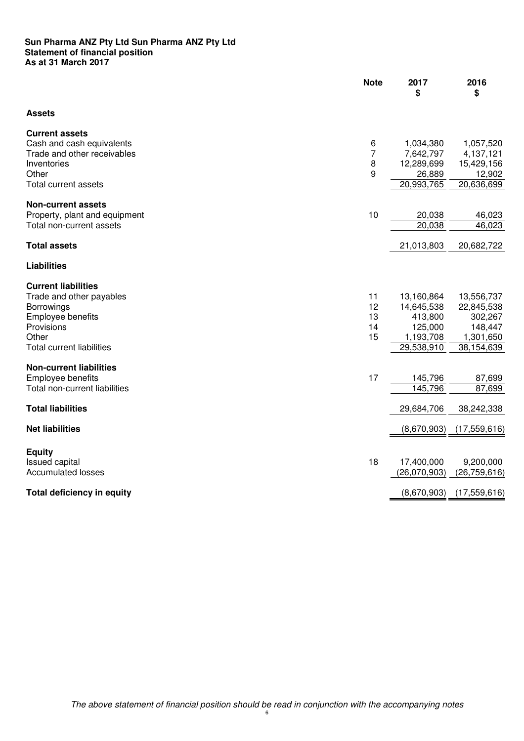#### **Sun Pharma ANZ Pty Ltd Sun Pharma ANZ Pty Ltd Statement of financial position As at 31 March 2017**

|                                                                                                                                                      | <b>Note</b>                   | 2017<br>\$                                                                | 2016<br>\$                                                                |
|------------------------------------------------------------------------------------------------------------------------------------------------------|-------------------------------|---------------------------------------------------------------------------|---------------------------------------------------------------------------|
| <b>Assets</b>                                                                                                                                        |                               |                                                                           |                                                                           |
| <b>Current assets</b><br>Cash and cash equivalents<br>Trade and other receivables<br>Inventories<br>Other<br><b>Total current assets</b>             | 6<br>$\overline{7}$<br>8<br>9 | 1,034,380<br>7,642,797<br>12,289,699<br>26,889<br>20,993,765              | 1,057,520<br>4,137,121<br>15,429,156<br>12,902<br>20,636,699              |
| <b>Non-current assets</b><br>Property, plant and equipment<br>Total non-current assets                                                               | 10                            | 20,038<br>20,038                                                          | 46,023<br>46,023                                                          |
| <b>Total assets</b>                                                                                                                                  |                               | 21,013,803                                                                | 20,682,722                                                                |
| <b>Liabilities</b>                                                                                                                                   |                               |                                                                           |                                                                           |
| <b>Current liabilities</b><br>Trade and other payables<br>Borrowings<br>Employee benefits<br>Provisions<br>Other<br><b>Total current liabilities</b> | 11<br>12<br>13<br>14<br>15    | 13,160,864<br>14,645,538<br>413,800<br>125,000<br>1,193,708<br>29,538,910 | 13,556,737<br>22,845,538<br>302,267<br>148,447<br>1,301,650<br>38,154,639 |
| <b>Non-current liabilities</b><br>Employee benefits<br>Total non-current liabilities                                                                 | 17                            | 145,796<br>145,796                                                        | 87,699<br>87,699                                                          |
| <b>Total liabilities</b>                                                                                                                             |                               | 29,684,706                                                                | 38,242,338                                                                |
| <b>Net liabilities</b>                                                                                                                               |                               | (8,670,903)                                                               | (17, 559, 616)                                                            |
| <b>Equity</b><br><b>Issued capital</b><br><b>Accumulated losses</b>                                                                                  | 18                            | 17,400,000<br>(26,070,903)                                                | 9,200,000<br>(26, 759, 616)                                               |
| <b>Total deficiency in equity</b>                                                                                                                    |                               | (8,670,903)                                                               | (17, 559, 616)                                                            |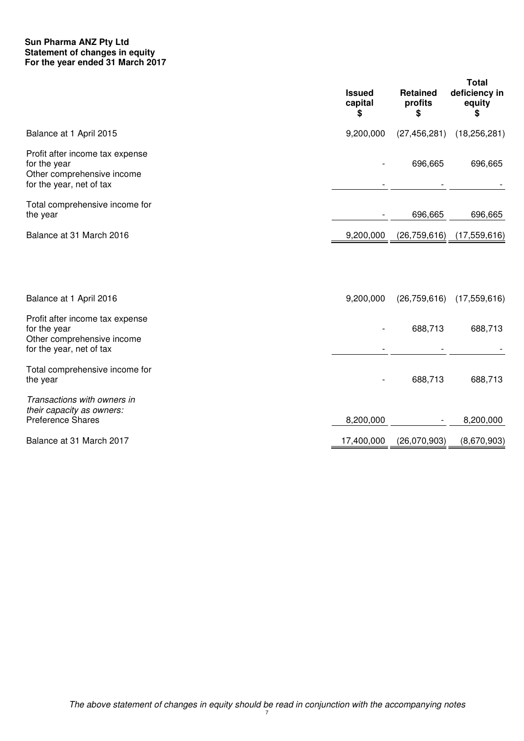#### **Sun Pharma ANZ Pty Ltd Statement of changes in equity For the year ended 31 March 2017**

|                                                                                                           | <b>Issued</b><br>capital<br>\$ | <b>Retained</b><br>profits<br>\$ | Total<br>deficiency in<br>equity<br>\$ |
|-----------------------------------------------------------------------------------------------------------|--------------------------------|----------------------------------|----------------------------------------|
| Balance at 1 April 2015                                                                                   | 9,200,000                      | (27, 456, 281)                   | (18, 256, 281)                         |
| Profit after income tax expense<br>for the year<br>Other comprehensive income<br>for the year, net of tax |                                | 696,665                          | 696,665                                |
| Total comprehensive income for<br>the year                                                                |                                | 696,665                          | 696,665                                |
| Balance at 31 March 2016                                                                                  | 9,200,000                      | (26, 759, 616)                   | (17, 559, 616)                         |
| Balance at 1 April 2016                                                                                   | 9,200,000                      | (26, 759, 616)                   | (17, 559, 616)                         |
| Profit after income tax expense<br>for the year<br>Other comprehensive income<br>for the year, net of tax |                                | 688,713                          | 688,713                                |
| Total comprehensive income for<br>the year                                                                |                                | 688,713                          | 688,713                                |
| Transactions with owners in<br>their capacity as owners:<br>Preference Shares                             | 8,200,000                      |                                  | 8,200,000                              |
| Balance at 31 March 2017                                                                                  | 17,400,000                     | (26,070,903)                     | (8,670,903)                            |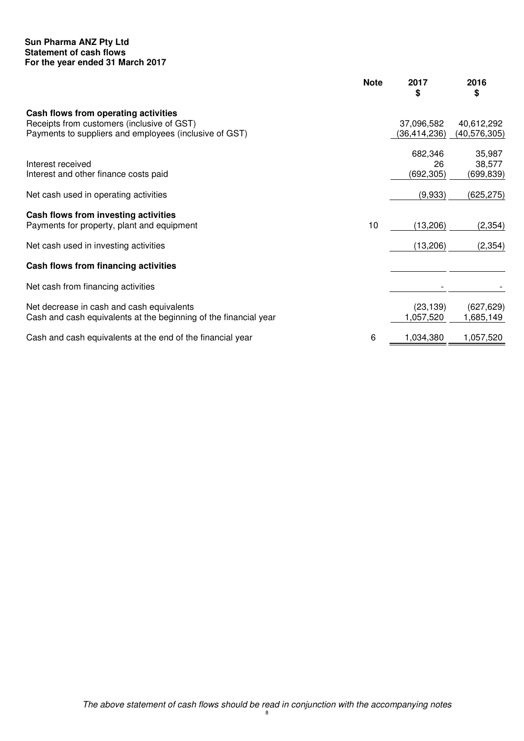#### **Sun Pharma ANZ Pty Ltd Statement of cash flows For the year ended 31 March 2017**

|                                                                  | <b>Note</b> | 2017<br>\$   | 2016<br>\$   |
|------------------------------------------------------------------|-------------|--------------|--------------|
| Cash flows from operating activities                             |             |              |              |
| Receipts from customers (inclusive of GST)                       |             | 37,096,582   | 40,612,292   |
| Payments to suppliers and employees (inclusive of GST)           |             | (36,414,236) | (40,576,305) |
|                                                                  |             | 682,346      | 35,987       |
| Interest received                                                |             | 26           | 38,577       |
| Interest and other finance costs paid                            |             | (692, 305)   | (699,839)    |
| Net cash used in operating activities                            |             | (9,933)      | (625, 275)   |
| Cash flows from investing activities                             |             |              |              |
| Payments for property, plant and equipment                       | 10          | (13,206)     | (2, 354)     |
| Net cash used in investing activities                            |             | (13,206)     | (2, 354)     |
| Cash flows from financing activities                             |             |              |              |
| Net cash from financing activities                               |             |              |              |
| Net decrease in cash and cash equivalents                        |             | (23, 139)    | (627, 629)   |
| Cash and cash equivalents at the beginning of the financial year |             | 1,057,520    | 1,685,149    |
| Cash and cash equivalents at the end of the financial year       | 6           | 1,034,380    | 1,057,520    |
|                                                                  |             |              |              |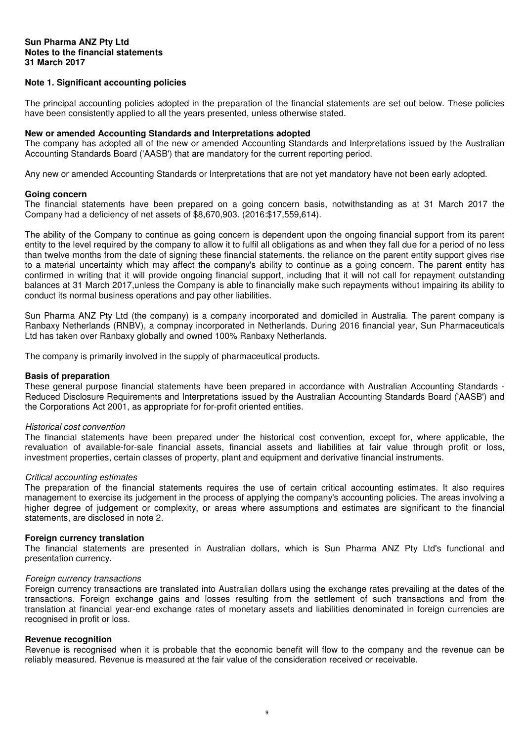#### **Sun Pharma ANZ Pty Ltd Notes to the financial statements 31 March 2017**

#### **Note 1. Significant accounting policies**

The principal accounting policies adopted in the preparation of the financial statements are set out below. These policies have been consistently applied to all the years presented, unless otherwise stated.

#### **New or amended Accounting Standards and Interpretations adopted**

The company has adopted all of the new or amended Accounting Standards and Interpretations issued by the Australian Accounting Standards Board ('AASB') that are mandatory for the current reporting period.

Any new or amended Accounting Standards or Interpretations that are not yet mandatory have not been early adopted.

#### **Going concern**

The financial statements have been prepared on a going concern basis, notwithstanding as at 31 March 2017 the Company had a deficiency of net assets of \$8,670,903. (2016:\$17,559,614).

The ability of the Company to continue as going concern is dependent upon the ongoing financial support from its parent entity to the level required by the company to allow it to fulfil all obligations as and when they fall due for a period of no less than twelve months from the date of signing these financial statements. the reliance on the parent entity support gives rise to a material uncertainty which may affect the company's ability to continue as a going concern. The parent entity has confirmed in writing that it will provide ongoing financial support, including that it will not call for repayment outstanding balances at 31 March 2017,unless the Company is able to financially make such repayments without impairing its ability to conduct its normal business operations and pay other liabilities.

Sun Pharma ANZ Pty Ltd (the company) is a company incorporated and domiciled in Australia. The parent company is Ranbaxy Netherlands (RNBV), a compnay incorporated in Netherlands. During 2016 financial year, Sun Pharmaceuticals Ltd has taken over Ranbaxy globally and owned 100% Ranbaxy Netherlands.

The company is primarily involved in the supply of pharmaceutical products.

#### **Basis of preparation**

These general purpose financial statements have been prepared in accordance with Australian Accounting Standards - Reduced Disclosure Requirements and Interpretations issued by the Australian Accounting Standards Board ('AASB') and the Corporations Act 2001, as appropriate for for-profit oriented entities.

#### Historical cost convention

The financial statements have been prepared under the historical cost convention, except for, where applicable, the revaluation of available-for-sale financial assets, financial assets and liabilities at fair value through profit or loss, investment properties, certain classes of property, plant and equipment and derivative financial instruments.

#### Critical accounting estimates

The preparation of the financial statements requires the use of certain critical accounting estimates. It also requires management to exercise its judgement in the process of applying the company's accounting policies. The areas involving a higher degree of judgement or complexity, or areas where assumptions and estimates are significant to the financial statements, are disclosed in note 2.

#### **Foreign currency translation**

The financial statements are presented in Australian dollars, which is Sun Pharma ANZ Pty Ltd's functional and presentation currency.

#### Foreign currency transactions

Foreign currency transactions are translated into Australian dollars using the exchange rates prevailing at the dates of the transactions. Foreign exchange gains and losses resulting from the settlement of such transactions and from the translation at financial year-end exchange rates of monetary assets and liabilities denominated in foreign currencies are recognised in profit or loss.

#### **Revenue recognition**

Revenue is recognised when it is probable that the economic benefit will flow to the company and the revenue can be reliably measured. Revenue is measured at the fair value of the consideration received or receivable.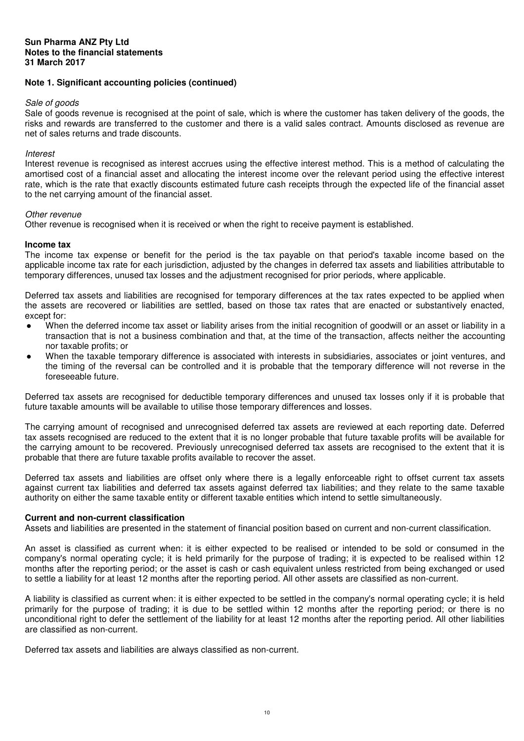#### **Note 1. Significant accounting policies (continued)**

#### Sale of goods

Sale of goods revenue is recognised at the point of sale, which is where the customer has taken delivery of the goods, the risks and rewards are transferred to the customer and there is a valid sales contract. Amounts disclosed as revenue are net of sales returns and trade discounts.

#### **Interest**

Interest revenue is recognised as interest accrues using the effective interest method. This is a method of calculating the amortised cost of a financial asset and allocating the interest income over the relevant period using the effective interest rate, which is the rate that exactly discounts estimated future cash receipts through the expected life of the financial asset to the net carrying amount of the financial asset.

#### Other revenue

Other revenue is recognised when it is received or when the right to receive payment is established.

#### **Income tax**

The income tax expense or benefit for the period is the tax payable on that period's taxable income based on the applicable income tax rate for each jurisdiction, adjusted by the changes in deferred tax assets and liabilities attributable to temporary differences, unused tax losses and the adjustment recognised for prior periods, where applicable.

Deferred tax assets and liabilities are recognised for temporary differences at the tax rates expected to be applied when the assets are recovered or liabilities are settled, based on those tax rates that are enacted or substantively enacted, except for:

- When the deferred income tax asset or liability arises from the initial recognition of goodwill or an asset or liability in a transaction that is not a business combination and that, at the time of the transaction, affects neither the accounting nor taxable profits; or
- When the taxable temporary difference is associated with interests in subsidiaries, associates or joint ventures, and the timing of the reversal can be controlled and it is probable that the temporary difference will not reverse in the foreseeable future.

Deferred tax assets are recognised for deductible temporary differences and unused tax losses only if it is probable that future taxable amounts will be available to utilise those temporary differences and losses.

The carrying amount of recognised and unrecognised deferred tax assets are reviewed at each reporting date. Deferred tax assets recognised are reduced to the extent that it is no longer probable that future taxable profits will be available for the carrying amount to be recovered. Previously unrecognised deferred tax assets are recognised to the extent that it is probable that there are future taxable profits available to recover the asset.

Deferred tax assets and liabilities are offset only where there is a legally enforceable right to offset current tax assets against current tax liabilities and deferred tax assets against deferred tax liabilities; and they relate to the same taxable authority on either the same taxable entity or different taxable entities which intend to settle simultaneously.

#### **Current and non-current classification**

Assets and liabilities are presented in the statement of financial position based on current and non-current classification.

An asset is classified as current when: it is either expected to be realised or intended to be sold or consumed in the company's normal operating cycle; it is held primarily for the purpose of trading; it is expected to be realised within 12 months after the reporting period; or the asset is cash or cash equivalent unless restricted from being exchanged or used to settle a liability for at least 12 months after the reporting period. All other assets are classified as non-current.

A liability is classified as current when: it is either expected to be settled in the company's normal operating cycle; it is held primarily for the purpose of trading; it is due to be settled within 12 months after the reporting period; or there is no unconditional right to defer the settlement of the liability for at least 12 months after the reporting period. All other liabilities are classified as non-current.

Deferred tax assets and liabilities are always classified as non-current.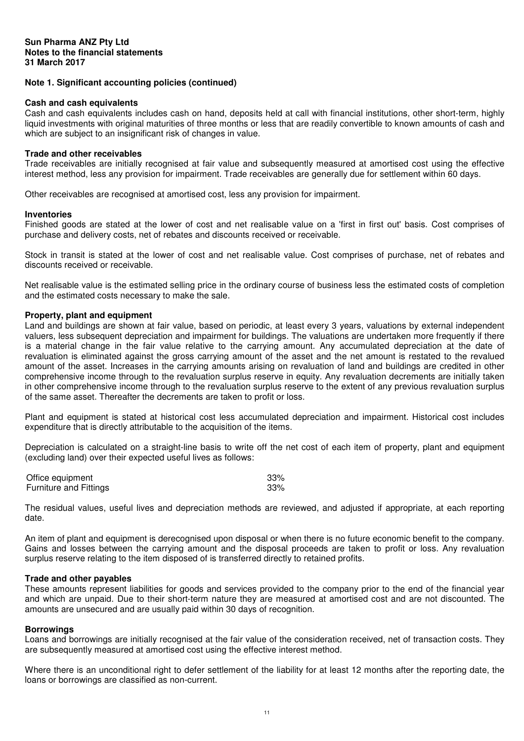#### **Note 1. Significant accounting policies (continued)**

#### **Cash and cash equivalents**

Cash and cash equivalents includes cash on hand, deposits held at call with financial institutions, other short-term, highly liquid investments with original maturities of three months or less that are readily convertible to known amounts of cash and which are subject to an insignificant risk of changes in value.

#### **Trade and other receivables**

Trade receivables are initially recognised at fair value and subsequently measured at amortised cost using the effective interest method, less any provision for impairment. Trade receivables are generally due for settlement within 60 days.

Other receivables are recognised at amortised cost, less any provision for impairment.

#### **Inventories**

Finished goods are stated at the lower of cost and net realisable value on a 'first in first out' basis. Cost comprises of purchase and delivery costs, net of rebates and discounts received or receivable.

Stock in transit is stated at the lower of cost and net realisable value. Cost comprises of purchase, net of rebates and discounts received or receivable.

Net realisable value is the estimated selling price in the ordinary course of business less the estimated costs of completion and the estimated costs necessary to make the sale.

#### **Property, plant and equipment**

Land and buildings are shown at fair value, based on periodic, at least every 3 years, valuations by external independent valuers, less subsequent depreciation and impairment for buildings. The valuations are undertaken more frequently if there is a material change in the fair value relative to the carrying amount. Any accumulated depreciation at the date of revaluation is eliminated against the gross carrying amount of the asset and the net amount is restated to the revalued amount of the asset. Increases in the carrying amounts arising on revaluation of land and buildings are credited in other comprehensive income through to the revaluation surplus reserve in equity. Any revaluation decrements are initially taken in other comprehensive income through to the revaluation surplus reserve to the extent of any previous revaluation surplus of the same asset. Thereafter the decrements are taken to profit or loss.

Plant and equipment is stated at historical cost less accumulated depreciation and impairment. Historical cost includes expenditure that is directly attributable to the acquisition of the items.

Depreciation is calculated on a straight-line basis to write off the net cost of each item of property, plant and equipment (excluding land) over their expected useful lives as follows:

| Office equipment              | 33% |
|-------------------------------|-----|
| <b>Furniture and Fittings</b> | 33% |

The residual values, useful lives and depreciation methods are reviewed, and adjusted if appropriate, at each reporting date.

An item of plant and equipment is derecognised upon disposal or when there is no future economic benefit to the company. Gains and losses between the carrying amount and the disposal proceeds are taken to profit or loss. Any revaluation surplus reserve relating to the item disposed of is transferred directly to retained profits.

#### **Trade and other payables**

These amounts represent liabilities for goods and services provided to the company prior to the end of the financial year and which are unpaid. Due to their short-term nature they are measured at amortised cost and are not discounted. The amounts are unsecured and are usually paid within 30 days of recognition.

#### **Borrowings**

Loans and borrowings are initially recognised at the fair value of the consideration received, net of transaction costs. They are subsequently measured at amortised cost using the effective interest method.

Where there is an unconditional right to defer settlement of the liability for at least 12 months after the reporting date, the loans or borrowings are classified as non-current.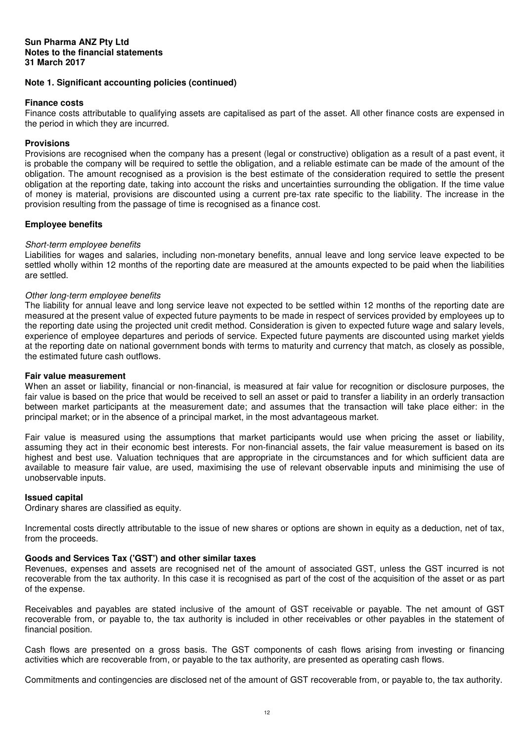#### **Note 1. Significant accounting policies (continued)**

#### **Finance costs**

Finance costs attributable to qualifying assets are capitalised as part of the asset. All other finance costs are expensed in the period in which they are incurred.

#### **Provisions**

Provisions are recognised when the company has a present (legal or constructive) obligation as a result of a past event, it is probable the company will be required to settle the obligation, and a reliable estimate can be made of the amount of the obligation. The amount recognised as a provision is the best estimate of the consideration required to settle the present obligation at the reporting date, taking into account the risks and uncertainties surrounding the obligation. If the time value of money is material, provisions are discounted using a current pre-tax rate specific to the liability. The increase in the provision resulting from the passage of time is recognised as a finance cost.

#### **Employee benefits**

#### Short-term employee benefits

Liabilities for wages and salaries, including non-monetary benefits, annual leave and long service leave expected to be settled wholly within 12 months of the reporting date are measured at the amounts expected to be paid when the liabilities are settled.

#### Other long-term employee benefits

The liability for annual leave and long service leave not expected to be settled within 12 months of the reporting date are measured at the present value of expected future payments to be made in respect of services provided by employees up to the reporting date using the projected unit credit method. Consideration is given to expected future wage and salary levels, experience of employee departures and periods of service. Expected future payments are discounted using market yields at the reporting date on national government bonds with terms to maturity and currency that match, as closely as possible, the estimated future cash outflows.

#### **Fair value measurement**

When an asset or liability, financial or non-financial, is measured at fair value for recognition or disclosure purposes, the fair value is based on the price that would be received to sell an asset or paid to transfer a liability in an orderly transaction between market participants at the measurement date; and assumes that the transaction will take place either: in the principal market; or in the absence of a principal market, in the most advantageous market.

Fair value is measured using the assumptions that market participants would use when pricing the asset or liability, assuming they act in their economic best interests. For non-financial assets, the fair value measurement is based on its highest and best use. Valuation techniques that are appropriate in the circumstances and for which sufficient data are available to measure fair value, are used, maximising the use of relevant observable inputs and minimising the use of unobservable inputs.

#### **Issued capital**

Ordinary shares are classified as equity.

Incremental costs directly attributable to the issue of new shares or options are shown in equity as a deduction, net of tax, from the proceeds.

#### **Goods and Services Tax ('GST') and other similar taxes**

Revenues, expenses and assets are recognised net of the amount of associated GST, unless the GST incurred is not recoverable from the tax authority. In this case it is recognised as part of the cost of the acquisition of the asset or as part of the expense.

Receivables and payables are stated inclusive of the amount of GST receivable or payable. The net amount of GST recoverable from, or payable to, the tax authority is included in other receivables or other payables in the statement of financial position.

Cash flows are presented on a gross basis. The GST components of cash flows arising from investing or financing activities which are recoverable from, or payable to the tax authority, are presented as operating cash flows.

Commitments and contingencies are disclosed net of the amount of GST recoverable from, or payable to, the tax authority.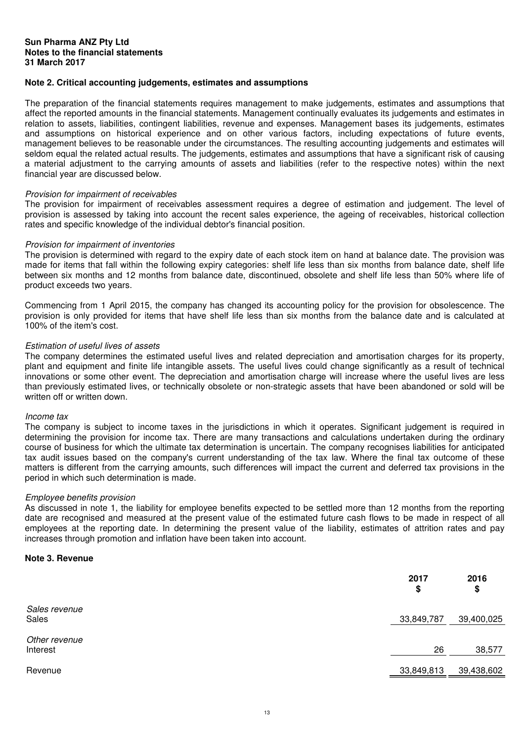#### **Sun Pharma ANZ Pty Ltd Notes to the financial statements 31 March 2017**

#### **Note 2. Critical accounting judgements, estimates and assumptions**

The preparation of the financial statements requires management to make judgements, estimates and assumptions that affect the reported amounts in the financial statements. Management continually evaluates its judgements and estimates in relation to assets, liabilities, contingent liabilities, revenue and expenses. Management bases its judgements, estimates and assumptions on historical experience and on other various factors, including expectations of future events, management believes to be reasonable under the circumstances. The resulting accounting judgements and estimates will seldom equal the related actual results. The judgements, estimates and assumptions that have a significant risk of causing a material adjustment to the carrying amounts of assets and liabilities (refer to the respective notes) within the next financial year are discussed below.

#### Provision for impairment of receivables

The provision for impairment of receivables assessment requires a degree of estimation and judgement. The level of provision is assessed by taking into account the recent sales experience, the ageing of receivables, historical collection rates and specific knowledge of the individual debtor's financial position.

#### Provision for impairment of inventories

The provision is determined with regard to the expiry date of each stock item on hand at balance date. The provision was made for items that fall within the following expiry categories: shelf life less than six months from balance date, shelf life between six months and 12 months from balance date, discontinued, obsolete and shelf life less than 50% where life of product exceeds two years.

Commencing from 1 April 2015, the company has changed its accounting policy for the provision for obsolescence. The provision is only provided for items that have shelf life less than six months from the balance date and is calculated at 100% of the item's cost.

#### Estimation of useful lives of assets

The company determines the estimated useful lives and related depreciation and amortisation charges for its property, plant and equipment and finite life intangible assets. The useful lives could change significantly as a result of technical innovations or some other event. The depreciation and amortisation charge will increase where the useful lives are less than previously estimated lives, or technically obsolete or non-strategic assets that have been abandoned or sold will be written off or written down.

#### Income tax

The company is subject to income taxes in the jurisdictions in which it operates. Significant judgement is required in determining the provision for income tax. There are many transactions and calculations undertaken during the ordinary course of business for which the ultimate tax determination is uncertain. The company recognises liabilities for anticipated tax audit issues based on the company's current understanding of the tax law. Where the final tax outcome of these matters is different from the carrying amounts, such differences will impact the current and deferred tax provisions in the period in which such determination is made.

#### Employee benefits provision

As discussed in note 1, the liability for employee benefits expected to be settled more than 12 months from the reporting date are recognised and measured at the present value of the estimated future cash flows to be made in respect of all employees at the reporting date. In determining the present value of the liability, estimates of attrition rates and pay increases through promotion and inflation have been taken into account.

#### **Note 3. Revenue**

|                           | 2017<br>\$ | 2016<br>\$ |
|---------------------------|------------|------------|
| Sales revenue<br>Sales    | 33,849,787 | 39,400,025 |
| Other revenue<br>Interest | 26         | 38,577     |
| Revenue                   | 33,849,813 | 39,438,602 |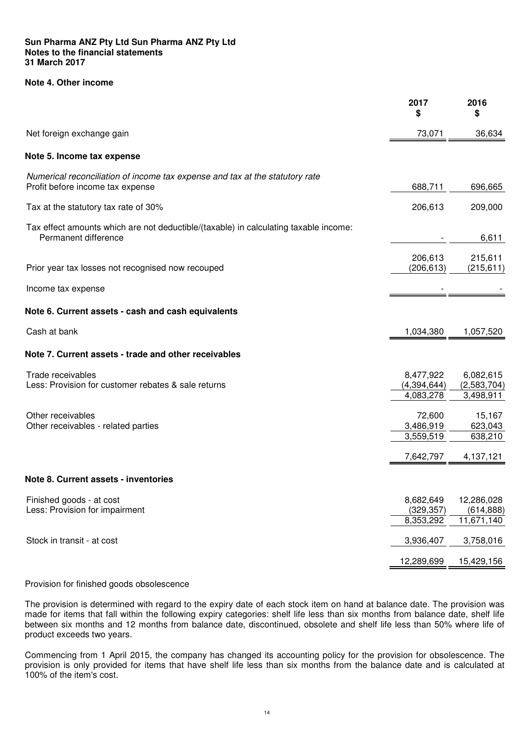#### **Note 4. Other income**

|                                                                                                                  | 2017<br>\$                            | 2016<br>\$                             |
|------------------------------------------------------------------------------------------------------------------|---------------------------------------|----------------------------------------|
| Net foreign exchange gain                                                                                        | 73,071                                | 36,634                                 |
| Note 5. Income tax expense                                                                                       |                                       |                                        |
| Numerical reconciliation of income tax expense and tax at the statutory rate<br>Profit before income tax expense | 688,711                               | 696,665                                |
| Tax at the statutory tax rate of 30%                                                                             | 206,613                               | 209,000                                |
| Tax effect amounts which are not deductible/(taxable) in calculating taxable income:<br>Permanent difference     |                                       | 6,611                                  |
| Prior year tax losses not recognised now recouped                                                                | 206,613<br>(206, 613)                 | 215,611<br>(215, 611)                  |
| Income tax expense                                                                                               |                                       |                                        |
| Note 6. Current assets - cash and cash equivalents                                                               |                                       |                                        |
| Cash at bank                                                                                                     | 1,034,380                             | 1,057,520                              |
| Note 7. Current assets - trade and other receivables                                                             |                                       |                                        |
| Trade receivables<br>Less: Provision for customer rebates & sale returns                                         | 8,477,922<br>(4,394,644)<br>4,083,278 | 6,082,615<br>(2,583,704)<br>3,498,911  |
| Other receivables<br>Other receivables - related parties                                                         | 72,600<br>3,486,919<br>3,559,519      | 15,167<br>623,043<br>638,210           |
|                                                                                                                  | 7,642,797                             | 4,137,121                              |
| Note 8. Current assets - inventories                                                                             |                                       |                                        |
| Finished goods - at cost<br>Less: Provision for impairment                                                       | 8,682,649<br>(329, 357)<br>8,353,292  | 12,286,028<br>(614, 888)<br>11,671,140 |
| Stock in transit - at cost                                                                                       | 3,936,407                             | 3,758,016                              |
|                                                                                                                  | 12,289,699                            | 15,429,156                             |
|                                                                                                                  |                                       |                                        |

#### Provision for finished goods obsolescence

The provision is determined with regard to the expiry date of each stock item on hand at balance date. The provision was made for items that fall within the following expiry categories: shelf life less than six months from balance date, shelf life between six months and 12 months from balance date, discontinued, obsolete and shelf life less than 50% where life of product exceeds two years.

Commencing from 1 April 2015, the company has changed its accounting policy for the provision for obsolescence. The provision is only provided for items that have shelf life less than six months from the balance date and is calculated at 100% of the item's cost.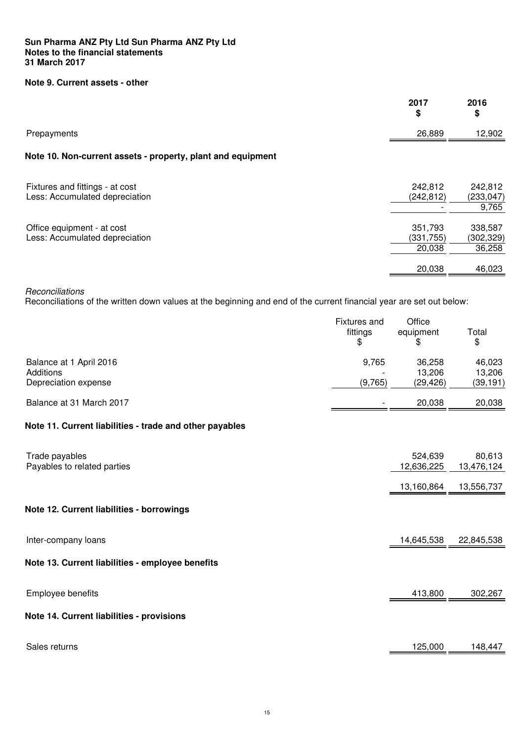#### **Sun Pharma ANZ Pty Ltd Sun Pharma ANZ Pty Ltd Notes to the financial statements 31 March 2017**

#### **Note 9. Current assets - other**

|                                                                   | 2017<br>\$            | 2016<br>\$            |
|-------------------------------------------------------------------|-----------------------|-----------------------|
| Prepayments                                                       | 26,889                | 12,902                |
| Note 10. Non-current assets - property, plant and equipment       |                       |                       |
| Fixtures and fittings - at cost<br>Less: Accumulated depreciation | 242,812<br>(242, 812) | 242,812<br>(233, 047) |
|                                                                   |                       | 9,765                 |
| Office equipment - at cost<br>Less: Accumulated depreciation      | 351,793<br>(331, 755) | 338,587<br>(302,329)  |
|                                                                   | 20,038                | 36,258                |
|                                                                   | 20,038                | 46,023                |

**Reconciliations** 

Reconciliations of the written down values at the beginning and end of the current financial year are set out below:

|                                                         | <b>Fixtures</b> and<br>fittings<br>\$ | Office<br>equipment<br>\$ | Total<br>\$          |
|---------------------------------------------------------|---------------------------------------|---------------------------|----------------------|
| Balance at 1 April 2016<br>Additions                    | 9,765                                 | 36,258<br>13,206          | 46,023<br>13,206     |
| Depreciation expense                                    | (9,765)                               | (29, 426)                 | (39, 191)            |
| Balance at 31 March 2017                                |                                       | 20,038                    | 20,038               |
| Note 11. Current liabilities - trade and other payables |                                       |                           |                      |
| Trade payables<br>Payables to related parties           |                                       | 524,639<br>12,636,225     | 80,613<br>13,476,124 |
|                                                         |                                       | 13,160,864                | 13,556,737           |
| Note 12. Current liabilities - borrowings               |                                       |                           |                      |
| Inter-company loans                                     |                                       | 14,645,538                | 22,845,538           |
| Note 13. Current liabilities - employee benefits        |                                       |                           |                      |
| Employee benefits                                       |                                       | 413,800                   | 302,267              |
| Note 14. Current liabilities - provisions               |                                       |                           |                      |
| Sales returns                                           |                                       | 125,000                   | 148,447              |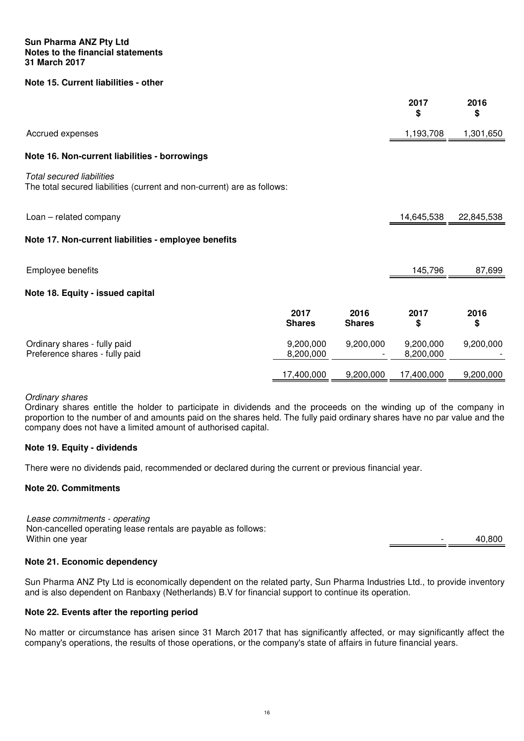#### **Note 15. Current liabilities - other**

|                                                                                                      |                        |                       | 2017<br>\$             | 2016<br>\$ |
|------------------------------------------------------------------------------------------------------|------------------------|-----------------------|------------------------|------------|
| Accrued expenses                                                                                     |                        |                       | 1,193,708              | 1,301,650  |
| Note 16. Non-current liabilities - borrowings                                                        |                        |                       |                        |            |
| Total secured liabilities<br>The total secured liabilities (current and non-current) are as follows: |                        |                       |                        |            |
| Loan - related company                                                                               |                        |                       | 14,645,538             | 22,845,538 |
| Note 17. Non-current liabilities - employee benefits                                                 |                        |                       |                        |            |
| Employee benefits                                                                                    |                        |                       | 145,796                | 87,699     |
| Note 18. Equity - issued capital                                                                     |                        |                       |                        |            |
|                                                                                                      | 2017<br><b>Shares</b>  | 2016<br><b>Shares</b> | 2017<br>\$             | 2016<br>\$ |
| Ordinary shares - fully paid<br>Preference shares - fully paid                                       | 9,200,000<br>8,200,000 | 9,200,000             | 9,200,000<br>8,200,000 | 9,200,000  |
|                                                                                                      | 17,400,000             | 9,200,000             | 17,400,000             | 9,200,000  |

#### Ordinary shares

Ordinary shares entitle the holder to participate in dividends and the proceeds on the winding up of the company in proportion to the number of and amounts paid on the shares held. The fully paid ordinary shares have no par value and the company does not have a limited amount of authorised capital.

#### **Note 19. Equity - dividends**

There were no dividends paid, recommended or declared during the current or previous financial year.

#### **Note 20. Commitments**

Lease commitments - operating Non-cancelled operating lease rentals are payable as follows: Within one year  $40,800$ 

#### **Note 21. Economic dependency**

Sun Pharma ANZ Pty Ltd is economically dependent on the related party, Sun Pharma Industries Ltd., to provide inventory and is also dependent on Ranbaxy (Netherlands) B.V for financial support to continue its operation.

#### **Note 22. Events after the reporting period**

No matter or circumstance has arisen since 31 March 2017 that has significantly affected, or may significantly affect the company's operations, the results of those operations, or the company's state of affairs in future financial years.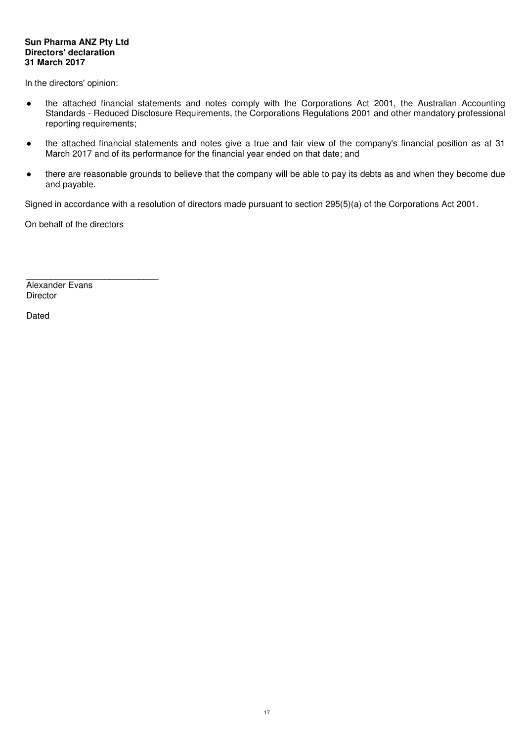#### **Sun Pharma ANZ Pty Ltd Directors' declaration 31 March 2017**

In the directors' opinion:

- the attached financial statements and notes comply with the Corporations Act 2001, the Australian Accounting Standards - Reduced Disclosure Requirements, the Corporations Regulations 2001 and other mandatory professional reporting requirements;
- the attached financial statements and notes give a true and fair view of the company's financial position as at 31 March 2017 and of its performance for the financial year ended on that date; and
- there are reasonable grounds to believe that the company will be able to pay its debts as and when they become due and payable.

Signed in accordance with a resolution of directors made pursuant to section 295(5)(a) of the Corporations Act 2001.

On behalf of the directors

\_\_\_\_\_\_\_\_\_\_\_\_\_\_\_\_\_\_\_\_\_\_\_\_\_\_\_

Alexander Evans **Director** 

Dated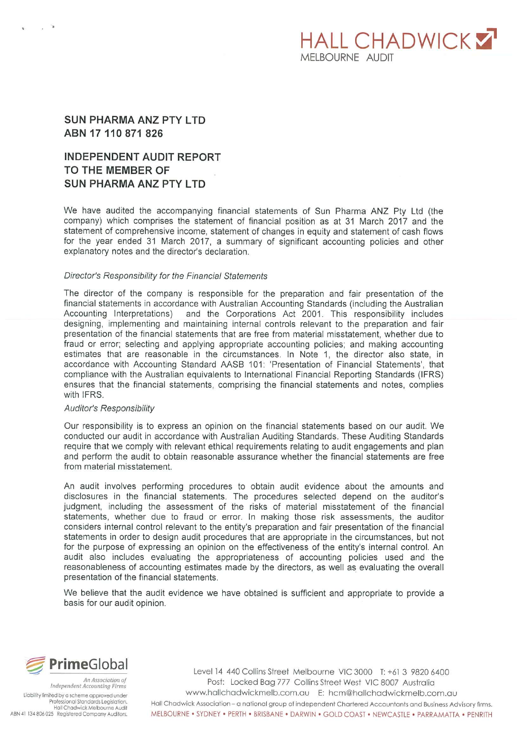# **HALL CHADWICKY** MFI BOURNE AUDIT

### **SUN PHARMA ANZ PTY LTD** ABN 17 110 871 826

# **INDEPENDENT AUDIT REPORT** TO THE MEMBER OF **SUN PHARMA ANZ PTY LTD**

We have audited the accompanying financial statements of Sun Pharma ANZ Pty Ltd (the company) which comprises the statement of financial position as at 31 March 2017 and the statement of comprehensive income, statement of changes in equity and statement of cash flows for the year ended 31 March 2017, a summary of significant accounting policies and other explanatory notes and the director's declaration.

#### Director's Responsibility for the Financial Statements

The director of the company is responsible for the preparation and fair presentation of the financial statements in accordance with Australian Accounting Standards (including the Australian Accounting Interpretations) and the Corporations Act 2001. This responsibility includes designing, implementing and maintaining internal controls relevant to the preparation and fair presentation of the financial statements that are free from material misstatement, whether due to fraud or error; selecting and applying appropriate accounting policies; and making accounting estimates that are reasonable in the circumstances. In Note 1, the director also state, in accordance with Accounting Standard AASB 101: 'Presentation of Financial Statements', that compliance with the Australian equivalents to International Financial Reporting Standards (IFRS) ensures that the financial statements, comprising the financial statements and notes, complies with IFRS.

#### **Auditor's Responsibility**

Our responsibility is to express an opinion on the financial statements based on our audit. We conducted our audit in accordance with Australian Auditing Standards. These Auditing Standards require that we comply with relevant ethical requirements relating to audit engagements and plan and perform the audit to obtain reasonable assurance whether the financial statements are free from material misstatement.

An audit involves performing procedures to obtain audit evidence about the amounts and disclosures in the financial statements. The procedures selected depend on the auditor's judgment, including the assessment of the risks of material misstatement of the financial statements, whether due to fraud or error. In making those risk assessments, the auditor considers internal control relevant to the entity's preparation and fair presentation of the financial statements in order to design audit procedures that are appropriate in the circumstances, but not for the purpose of expressing an opinion on the effectiveness of the entity's internal control. An audit also includes evaluating the appropriateness of accounting policies used and the reasonableness of accounting estimates made by the directors, as well as evaluating the overall presentation of the financial statements.

We believe that the audit evidence we have obtained is sufficient and appropriate to provide a basis for our audit opinion.



Independent Accounting Firms Liability limited by a scheme approved under Professional Standards Legislation.<br>Hall Chadwick Melbourne Audit ABN 41 134 806 025 Registered Company Auditors.

Level 14 440 Collins Street Melbourne VIC 3000 T: +61 3 9820 6400 Post: Locked Bag 777 Collins Street West VIC 8007 Australia www.hallchadwickmelb.com.au E: hcm@hallchadwickmelb.com.au Hall Chadwick Association - a national group of independent Chartered Accountants and Business Advisory firms. MELBOURNE . SYDNEY . PERTH . BRISBANE . DARWIN . GOLD COAST . NEWCASTLE . PARRAMATTA . PENRITH